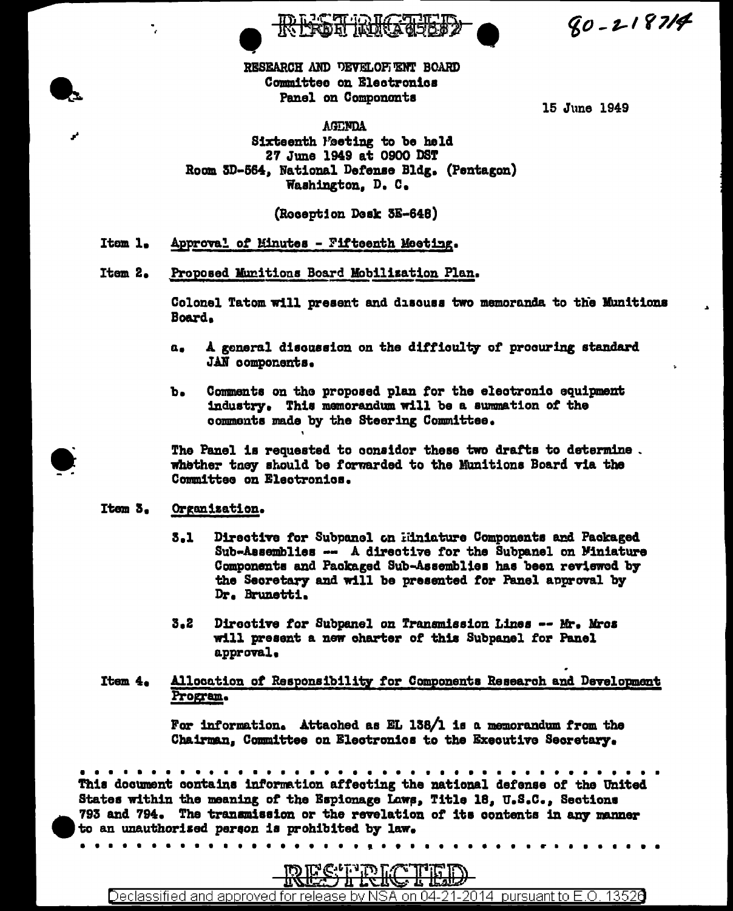$80 - 218714$ 

RESEARCH AND DEVELOPIENT BOARD Committee on Electronics Panel on Components

15 June 1949

**AGENDA** Sixteenth Feeting to be held 27 June 1949 at 0900 DST Room 5D-564, National Defense Bldg. (Pentagon) Washington. D. C.

(Roception Desk 3E-648)

Itom 1. Approval of Minutes - Fifteenth Meeting.

Item 2. Proposed Munitions Board Mobilization Plan.

> Colonel Tatom will present and discuss two memoranda to the Munitions Board.

- A general discussion on the difficulty of procuring standard  $\mathbf{a}_\bullet$ JAN components.
- ъ. Comments on the proposed plan for the electronic equipment industry. This memorandum will be a summation of the comments made by the Steering Committee.

The Panel is requested to considor these two drafts to determine. whether they should be forwarded to the Munitions Board via the Committee on Electronics.

#### Item 3. Organization.

 $\mathbf{A}$  and  $\mathbf{A}$  and  $\mathbf{A}$ 

- Directive for Subpanel on Hiniature Components and Packaged  $3.1$ Sub-Assemblies -- A directive for the Subpanel on Miniature Components and Packaged Sub-Assemblies has been reviewed by the Secretary and will be presented for Panel approval by Dr. Brunetti.
- $3 2$ Directive for Subpanel on Transmission Lines -- Mr. Mros will present a new charter of this Subpanel for Panel approval.
- Allocation of Responsibility for Components Research and Development Item 4. Program.

For information. Attached as EL 138/1 is a memorandum from the Chairman, Committee on Electronics to the Executive Secretary.

 $\begin{array}{cccccccccccccc} \bullet & \bullet & \bullet & \bullet & \bullet & \bullet & \bullet \end{array}$ 

This document contains information affecting the national defense of the United States within the meaning of the Espionage Laws, Title 18, U.S.C., Sections 793 and 794. The transmission or the revelation of its contents in any manner to an unauthorized person is prohibited by law.



Declassified and approved for release by NSA on 04-21-2014 pursuant to E.O. 13526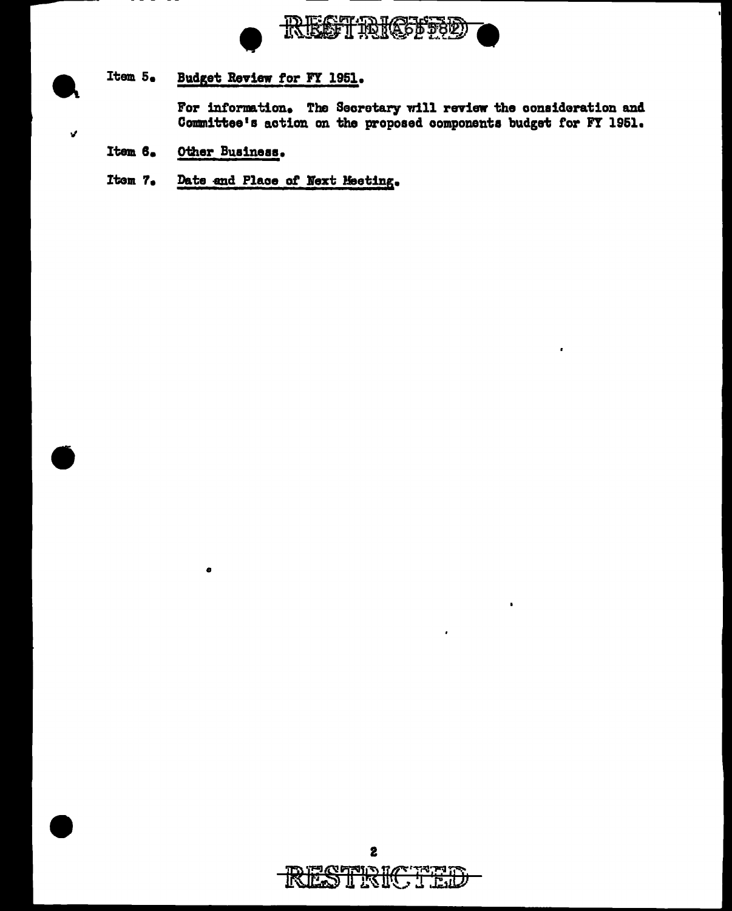

Item 5. Budget Review for FY 1951.

> For information. The Secretary will review the consideration and Committee's action on the proposed components budget for FY 1951.

Item 6. Other Business.

 $\bullet$ 

 $\mathbf{r}$ 

Date and Place of Next Meeting. Item 7.

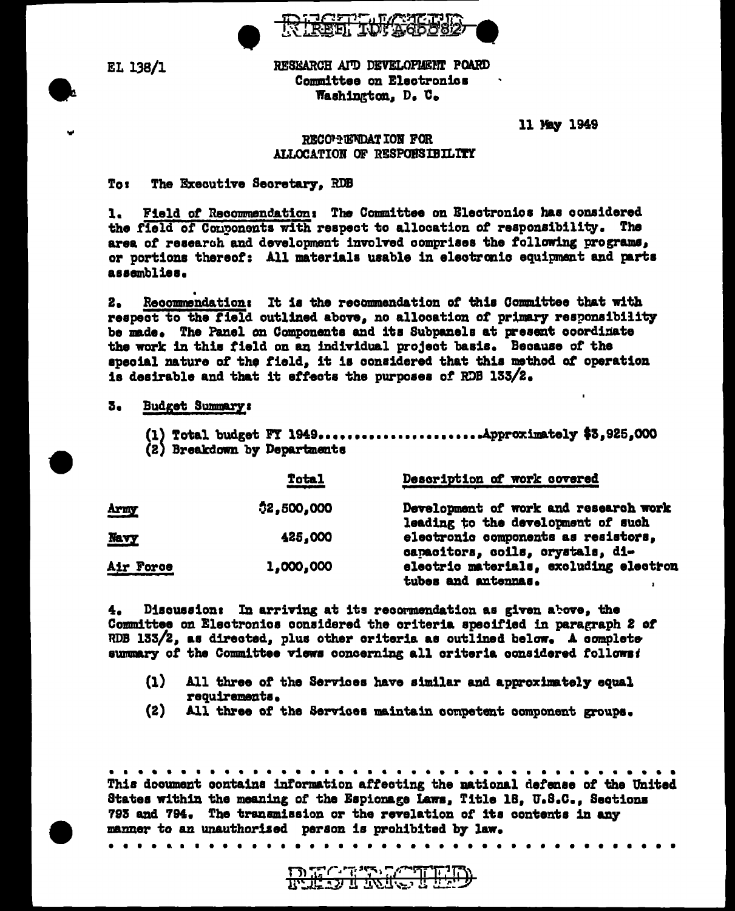

EL 138/1

RESEARCH AID DEVELOPLENT POARD Committee on Electronics Washington. D. C.

11 May 1949

# RECONNENDATION FOR ALLOCATION OF RESPONSIBILITY

### Tos to the property of the contention of the contention of the contention of the contention of the contention to the contention of the contention of the contention of the contention of the contention of the contention of t The Executive Secretary, RDB

Field of Recommendation: The Committee on Electronics has considered  $\mathbf{1}_{\bullet}$ the field of Conponents with respect to allocation of responsibility. The area of research and development involved comprises the following programs, or portions thereof: All materials usable in electronic equipment and parts assemblies.

Recommendation: It is the recommendation of this Committee that with  $2.$ respect to the field outlined above, no allocation of primary responsibility be made. The Panel on Components and its Subpanels at present coordinate the work in this field on an individual project basis. Because of the special nature of the field, it is considered that this method of operation is desirable and that it effects the purposes of RDB 133/2.

## 3. Budget Summary:

. . . . . . . . . . . . . *.* 

(1) Total budget FY 1949.........................Approximately \$3,925,000 (2) Breakdown by Departments

|             | Total      | Description of work covered                                                 |
|-------------|------------|-----------------------------------------------------------------------------|
| <b>Army</b> | 02,500,000 | Development of work and research work<br>leading to the development of such |
| Navy        | 425,000    | electronic components as resistors,<br>capacitors, coils, crystals, di-     |
| Air Force   | 1,000,000  | electric materials, excluding electron<br>tubes and antennas.               |

4. Discussion: In arriving at its recommendation as given above, the Committee on Electronics considered the criteria specified in paragraph 2 of RDB 133/2, as directed, plus other criteria as outlined below. A complete summary of the Committee views concerning all criteria considered follows:

- $\Omega$ All three of the Services have similar and approximately equal requirements.
- $(2)$ All three of the Services maintain competent component groups.

This document contains information affecting the national defense of the United States within the meaning of the Espionage Laws, Title 18, U.S.C., Sections 793 and 794. The transmission or the revelation of its contents in any manner to an unauthorized person is prohibited by law.

**DECTIVE 1** مرتز وتخذف والمراكبة